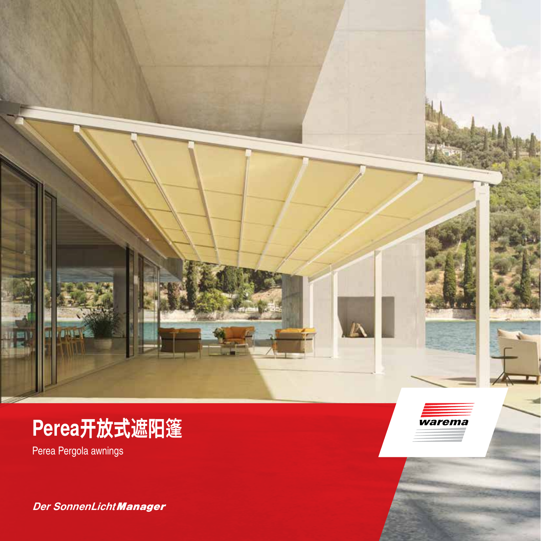

# **Perea开放式遮阳篷**

Perea Pergola awnings

*Der SonnenLicht Manager*

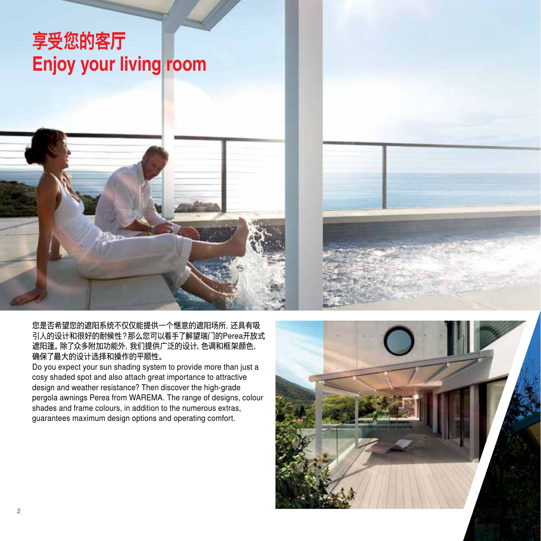# **享受您的客厅 Enjoy your living room**



#### 您是否希望您的遮阳系统不仅仅能提供一个惬意的遮阳场所,还具有吸 引人的设计和很好的耐候性?那么您可以着手了解望瑞门的Perea开放式 遮阳篷。除了众多附加功能外,我们提供广泛的设计、色调和框架颜色, 确保了最大的设计选择和操作的平顺性。

Do you expect your sun shading system to provide more than just a cosy shaded spot and also attach great importance to attractive design and weather resistance? Then discover the high-grade pergola awnings Perea from WAREMA. The range of designs, colour shades and frame colours, in addition to the numerous extras, guarantees maximum design options and operating comfort.



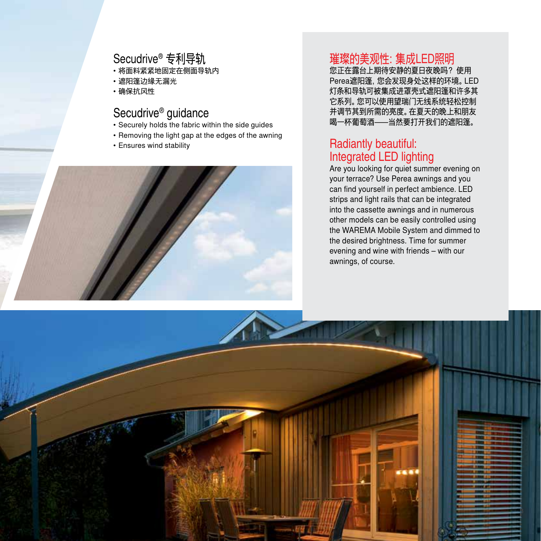### Secudrive® 专利导轨

- 将面料紧紧地固定在侧面导轨内
- 遮阳篷边缘无漏光
- 确保抗风性

#### Secudrive® guidance

- Securely holds the fabric within the side guides
- Removing the light gap at the edges of the awning
- Ensures wind stability



## 璀璨的美观性:集成LED照明

您正在露台上期待安静的夏日夜晚吗? 使用 Perea遮阳篷,您会发现身处这样的环境。LED 灯条和导轨可被集成进罩壳式遮阳篷和许多其 它系列。您可以使用望瑞门无线系统轻松控制 并调节其到所需的亮度。在夏天的晚上和朋友 喝一杯葡萄酒—当然要打开我们的遮阳篷。

#### Radiantly beautiful: Integrated LED lighting

Are you looking for quiet summer evening on your terrace? Use Perea awnings and you can find yourself in perfect ambience. LED strips and light rails that can be integrated into the cassette awnings and in numerous other models can be easily controlled using the WAREMA Mobile System and dimmed to the desired brightness. Time for summer evening and wine with friends – with our awnings, of course.

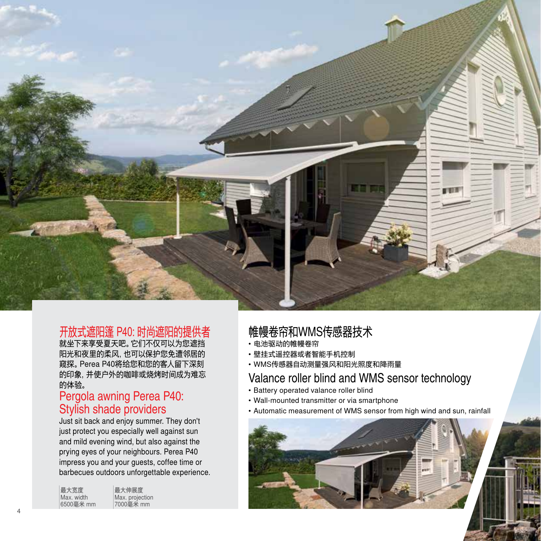

#### 开放式遮阳篷 P40: 时尚遮阳的提供者

就坐下来享受夏天吧。它们不仅可以为您遮挡 阳光和夜里的柔风,也可以保护您免遭邻居的 窥探。Perea P40将给您和您的客人留下深刻 的印象,并使户外的咖啡或烧烤时间成为难忘 的体验。

#### Pergola awning Perea P40: Stylish shade providers

Just sit back and enjoy summer. They don't just protect you especially well against sun and mild evening wind, but also against the prying eyes of your neighbours. Perea P40 impress you and your guests, coffee time or barbecues outdoors unforgettable experience.

| 最大宽度<br>Max. width<br>6500毫米 mm | 最大伸展度<br>Max. projection<br>7000毫米 mm |
|---------------------------------|---------------------------------------|
|                                 |                                       |

### 帷幔卷帘和WMS传感器技术

- 电池驱动的帷幔卷帘
- 壁挂式遥控器或者智能手机控制
- WMS传感器自动测量强风和阳光照度和降雨量

#### Valance roller blind and WMS sensor technology

- Battery operated valance roller blind
- Wall-mounted transmitter or via smartphone
- Automatic measurement of WMS sensor from high wind and sun, rainfall

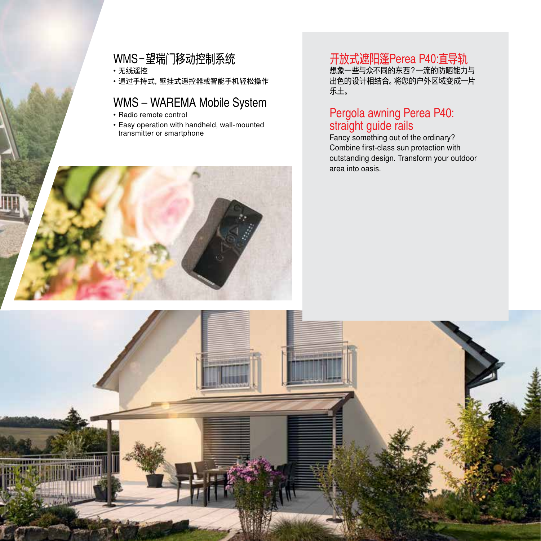## WMS-望瑞门移动控制系统

• 无线遥控

• 通过手持式,壁挂式遥控器或智能手机轻松操作

#### WMS – WAREMA Mobile System

- Radio remote control
- Easy operation with handheld, wall-mounted transmitter or smartphone



想象一些与众不同的东西?一流的防晒能力与 25.5、三 5.6、1.5,5,5,4,6,7,7,7,8,5,7,7,4,8,5,7,7,<br>出色的设计相结合。将您的户外区域变成一片 乐土。

#### Pergola awning Perea P40: straight guide rails

Fancy something out of the ordinary? Combine first-class sun protection with outstanding design. Transform your outdoor area into oasis.



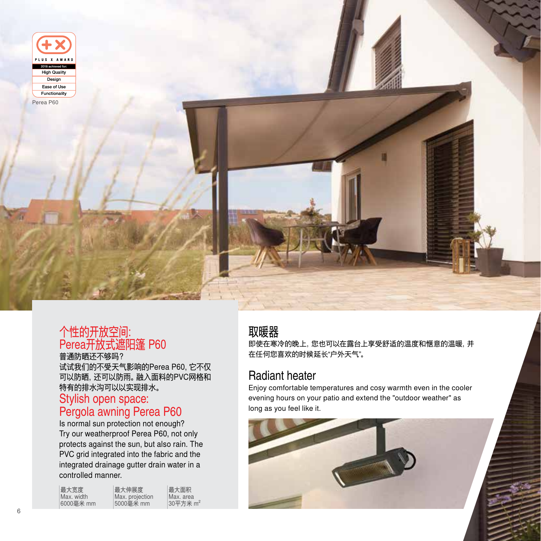



#### 个性的开放空间: Perea开放式遮阳篷 P60

普通防晒还不够吗? 试试我们的不受天气影响的Perea P60,它不仅 可以防晒,还可以防雨。融入面料的PVC网格和

特有的排水沟可以以实现排水。 Stylish open space:

## Pergola awning Perea P60

Is normal sun protection not enough? Try our weatherproof Perea P60, not only protects against the sun, but also rain. The PVC grid integrated into the fabric and the integrated drainage gutter drain water in a controlled manner.

| 最大宽度       | 最大伸展度           | 最大面积                 |
|------------|-----------------|----------------------|
| Max. width | Max. proiection | Max. area            |
| 6000毫米 mm  | 5000毫米 mm       | 30平方米 m <sup>2</sup> |

### 取暖器

即使在寒冷的晚上,您也可以在露台上享受舒适的温度和惬意的温暖,并 在任何您喜欢的时候延长"户外天气"。

### Radiant heater

Enjoy comfortable temperatures and cosy warmth even in the cooler evening hours on your patio and extend the "outdoor weather" as long as you feel like it.

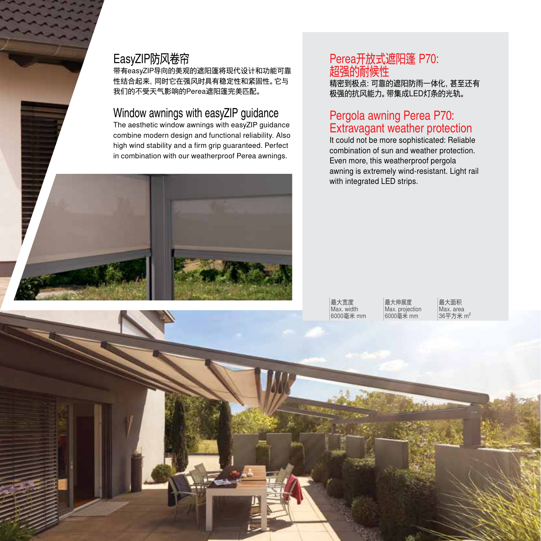#### EasyZIP防风卷帘

带有easyZIP导向的美观的遮阳篷将现代设计和功能可靠 性结合起来,同时它在强风时具有稳定性和紧固性。它与 我们的不受天气影响的Perea遮阳篷完美匹配。

#### Window awnings with easyZIP guidance

The aesthetic window awnings with easyZIP guidance combine modern design and functional reliability. Also high wind stability and a firm grip guaranteed. Perfect in combination with our weatherproof Perea awnings.

### Perea开放式遮阳篷 P70: 超强的耐候性

精密到极点:可靠的遮阳防雨一体化,甚至还有 极强的抗风能力。带集成LED灯条的光轨。

#### Pergola awning Perea P70: Extravagant weather protection

It could not be more sophisticated: Reliable combination of sun and weather protection. Even more, this weatherproof pergola awning is extremely wind-resistant. Light rail with integrated LED strips.

最大宽度 Max. width 6000毫米 mm

最大伸展度 Max. projection 6000毫米 mm

最大面积 Max. area 36平方米 m²

7